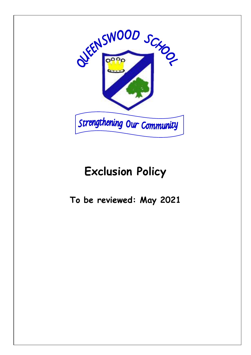

# **Exclusion Policy**

**To be reviewed: May 2021**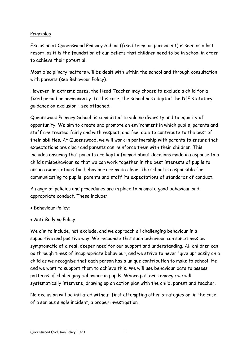## Principles

Exclusion at Queenswood Primary School (fixed term, or permanent) is seen as a last resort, as it is the foundation of our beliefs that children need to be in school in order to achieve their potential.

Most disciplinary matters will be dealt with within the school and through consultation with parents (see Behaviour Policy).

However, in extreme cases, the Head Teacher may choose to exclude a child for a fixed period or permanently. In this case, the school has adopted the DfE statutory guidance on exclusion – see attached.

Queenswood Primary School is committed to valuing diversity and to equality of opportunity. We aim to create and promote an environment in which pupils, parents and staff are treated fairly and with respect, and feel able to contribute to the best of their abilities. At Queenswood, we will work in partnership with parents to ensure that expectations are clear and parents can reinforce them with their children. This includes ensuring that parents are kept informed about decisions made in response to a child's misbehaviour so that we can work together in the best interests of pupils to ensure expectations for behaviour are made clear. The school is responsible for communicating to pupils, parents and staff its expectations of standards of conduct.

A range of policies and procedures are in place to promote good behaviour and appropriate conduct. These include:

- Behaviour Policy;
- Anti-Bullying Policy

We aim to include, not exclude, and we approach all challenging behaviour in a supportive and positive way. We recognise that such behaviour can sometimes be symptomatic of a real, deeper need for our support and understanding. All children can go through times of inappropriate behaviour, and we strive to never "give up" easily on a child as we recognise that each person has a unique contribution to make to school life and we want to support them to achieve this. We will use behaviour data to assess patterns of challenging behaviour in pupils. Where patterns emerge we will systematically intervene, drawing up an action plan with the child, parent and teacher.

No exclusion will be initiated without first attempting other strategies or, in the case of a serious single incident, a proper investigation.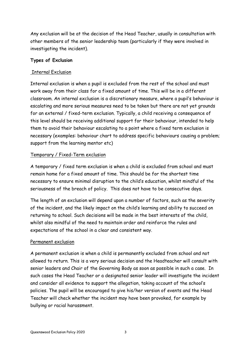Any exclusion will be at the decision of the Head Teacher, usually in consultation with other members of the senior leadership team (particularly if they were involved in investigating the incident).

# **Types of Exclusion**

## Internal Exclusion

Internal exclusion is when a pupil is excluded from the rest of the school and must work away from their class for a fixed amount of time. This will be in a different classroom. An internal exclusion is a discretionary measure, where a pupil's behaviour is escalating and more serious measures need to be taken but there are not yet grounds for an external / fixed-term exclusion. Typically, a child receiving a consequence of this level should be receiving additional support for their behaviour, intended to help them to avoid their behaviour escalating to a point where a fixed term exclusion is necessary (examples: behaviour chart to address specific behaviours causing a problem; support from the learning mentor etc)

## Temporary / Fixed-Term exclusion

A temporary / fixed term exclusion is when a child is excluded from school and must remain home for a fixed amount of time. This should be for the shortest time necessary to ensure minimal disruption to the child's education, whilst mindful of the seriousness of the breach of policy. This does not have to be consecutive days.

The length of an exclusion will depend upon a number of factors, such as the severity of the incident, and the likely impact on the child's learning and ability to succeed on returning to school. Such decisions will be made in the best interests of the child, whilst also mindful of the need to maintain order and reinforce the rules and expectations of the school in a clear and consistent way.

## Permanent exclusion

A permanent exclusion is when a child is permanently excluded from school and not allowed to return. This is a very serious decision and the Headteacher will consult with senior leaders and Chair of the Governing Body as soon as possible in such a case. In such cases the Head Teacher or a designated senior leader will investigate the incident and consider all evidence to support the allegation, taking account of the school's policies. The pupil will be encouraged to give his/her version of events and the Head Teacher will check whether the incident may have been provoked, for example by bullying or racial harassment.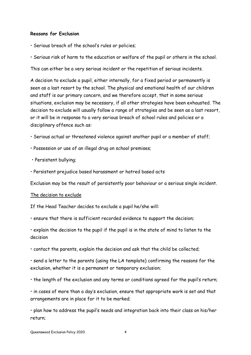#### **Reasons for Exclusion**

- Serious breach of the school's rules or policies;
- Serious risk of harm to the education or welfare of the pupil or others in the school.

This can either be a very serious incident or the repetition of serious incidents.

A decision to exclude a pupil, either internally, for a fixed period or permanently is seen as a last resort by the school. The physical and emotional health of our children and staff is our primary concern, and we therefore accept, that in some serious situations, exclusion may be necessary, if all other strategies have been exhausted. The decision to exclude will usually follow a range of strategies and be seen as a last resort, or it will be in response to a very serious breach of school rules and policies or a disciplinary offence such as:

- Serious actual or threatened violence against another pupil or a member of staff;
- Possession or use of an illegal drug on school premises;
- Persistent bullying;
- Persistent prejudice based harassment or hatred based acts

Exclusion may be the result of persistently poor behaviour or a serious single incident.

#### The decision to exclude

If the Head Teacher decides to exclude a pupil he/she will:

- ensure that there is sufficient recorded evidence to support the decision;
- explain the decision to the pupil if the pupil is in the state of mind to listen to the decision
- contact the parents, explain the decision and ask that the child be collected;

• send a letter to the parents (using the LA template) confirming the reasons for the exclusion, whether it is a permanent or temporary exclusion;

• the length of the exclusion and any terms or conditions agreed for the pupil's return;

• in cases of more than a day's exclusion, ensure that appropriate work is set and that arrangements are in place for it to be marked;

• plan how to address the pupil's needs and integration back into their class on his/her return;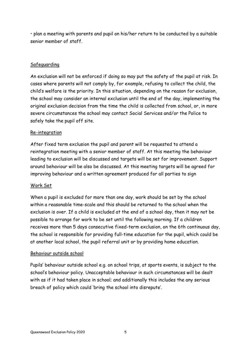• plan a meeting with parents and pupil on his/her return to be conducted by a suitable senior member of staff.

## Safeguarding

An exclusion will not be enforced if doing so may put the safety of the pupil at risk. In cases where parents will not comply by, for example, refusing to collect the child, the child's welfare is the priority. In this situation, depending on the reason for exclusion, the school may consider an internal exclusion until the end of the day, implementing the original exclusion decision from the time the child is collected from school, or, in more severe circumstances the school may contact Social Services and/or the Police to safely take the pupil off site.

## Re-integration

After fixed term exclusion the pupil and parent will be requested to attend a reintegration meeting with a senior member of staff. At this meeting the behaviour leading to exclusion will be discussed and targets will be set for improvement. Support around behaviour will be also be discussed. At this meeting targets will be agreed for improving behaviour and a written agreement produced for all parties to sign

## Work Set

When a pupil is excluded for more than one day, work should be set by the school within a reasonable time-scale and this should be returned to the school when the exclusion is over. If a child is excluded at the end of a school day, then it may not be possible to arrange for work to be set until the following morning. If a children receives more than 5 days consecutive fixed-term exclusion, on the 6th continuous day, the school is responsible for providing full-time education for the pupil, which could be at another local school, the pupil referral unit or by providing home education.

## Behaviour outside school

Pupils' behaviour outside school e.g. on school trips, at sports events, is subject to the school's behaviour policy. Unacceptable behaviour in such circumstances will be dealt with as if it had taken place in school; and additionally this includes the any serious breach of policy which could 'bring the school into disrepute'.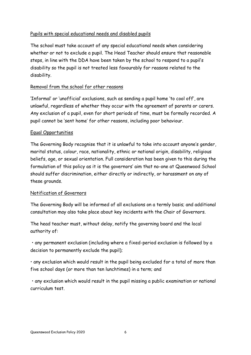# Pupils with special educational needs and disabled pupils

The school must take account of any special educational needs when considering whether or not to exclude a pupil. The Head Teacher should ensure that reasonable steps, in line with the DDA have been taken by the school to respond to a pupil's disability so the pupil is not treated less favourably for reasons related to the disability.

# Removal from the school for other reasons

'Informal' or 'unofficial' exclusions, such as sending a pupil home 'to cool off', are unlawful, regardless of whether they occur with the agreement of parents or carers. Any exclusion of a pupil, even for short periods of time, must be formally recorded. A pupil cannot be 'sent home' for other reasons, including poor behaviour.

## Equal Opportunities

The Governing Body recognise that it is unlawful to take into account anyone's gender, marital status, colour, race, nationality, ethnic or national origin, disability, religious beliefs, age, or sexual orientation. Full consideration has been given to this during the formulation of this policy as it is the governors' aim that no-one at Queenwood School should suffer discrimination, either directly or indirectly, or harassment on any of these grounds.

## Notification of Governors

The Governing Body will be informed of all exclusions on a termly basis; and additional consultation may also take place about key incidents with the Chair of Governors.

The head teacher must, without delay, notify the governing board and the local authority of:

• any permanent exclusion (including where a fixed-period exclusion is followed by a decision to permanently exclude the pupil);

• any exclusion which would result in the pupil being excluded for a total of more than five school days (or more than ten lunchtimes) in a term; and

• any exclusion which would result in the pupil missing a public examination or national curriculum test.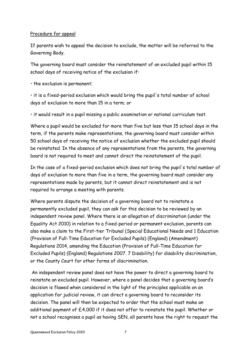## Procedure for appeal

If parents wish to appeal the decision to exclude, the matter will be referred to the Governing Body.

The governing board must consider the reinstatement of an excluded pupil within 15 school days of receiving notice of the exclusion if:

• the exclusion is permanent;

• it is a fixed-period exclusion which would bring the pupil's total number of school days of exclusion to more than 15 in a term; or

• it would result in a pupil missing a public examination or national curriculum test.

Where a pupil would be excluded for more than five but less than 15 school days in the term, if the parents make representations, the governing board must consider within 50 school days of receiving the notice of exclusion whether the excluded pupil should be reinstated. In the absence of any representations from the parents, the governing board is not required to meet and cannot direct the reinstatement of the pupil.

In the case of a fixed-period exclusion which does not bring the pupil's total number of days of exclusion to more than five in a term, the governing board must consider any representations made by parents, but it cannot direct reinstatement and is not required to arrange a meeting with parents.

Where parents dispute the decision of a governing board not to reinstate a permanently excluded pupil, they can ask for this decision to be reviewed by an independent review panel. Where there is an allegation of discrimination (under the Equality Act 2010) in relation to a fixed-period or permanent exclusion, parents can also make a claim to the First-tier Tribunal (Special Educational Needs and 1 Education (Provision of Full-Time Education for Excluded Pupils) (England) (Amendment) Regulations 2014, amending the Education (Provision of Full-Time Education for Excluded Pupils) (England) Regulations 2007. 7 Disability) for disability discrimination, or the County Court for other forms of discrimination.

An independent review panel does not have the power to direct a governing board to reinstate an excluded pupil. However, where a panel decides that a governing board's decision is flawed when considered in the light of the principles applicable on an application for judicial review, it can direct a governing board to reconsider its decision. The panel will then be expected to order that the school must make an additional payment of £4,000 if it does not offer to reinstate the pupil. Whether or not a school recognises a pupil as having SEN, all parents have the right to request the